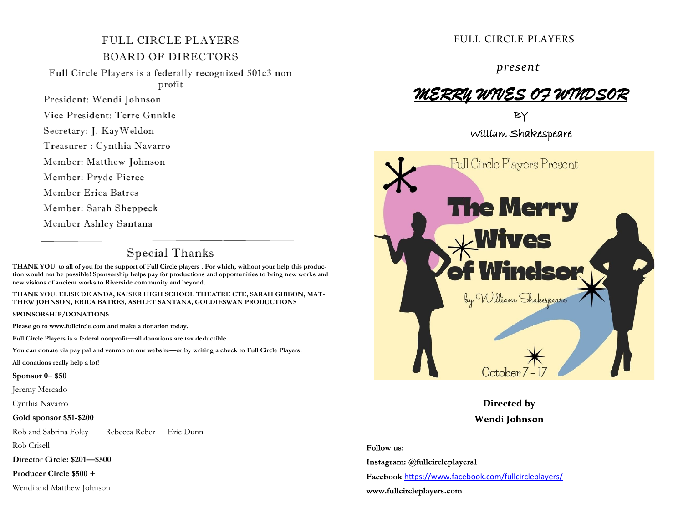# FULL CIRCLE PLAYERS BOARD OF DIRECTORS

Full Circle Players is a federally recognized 501c3 non profit

President: Wendi Johnson

Vice President: Terre Gunkle

Secretary: J. KayWeldon

Treasurer : Cynthia Navarro

Member: Matthew Johnson

Member: Pryde Pierce

Member Erica Batres

Member: Sarah Sheppeck

Member Ashley Santana

# Special Thanks

**THANK YOU to all of you for the support of Full Circle players . For which, without your help this production would not be possible! Sponsorship helps pay for productions and opportunities to bring new works and new visions of ancient works to Riverside community and beyond.**

**THANK YOU: ELISE DE ANDA, KAISER HIGH SCHOOL THEATRE CTE, SARAH GIBBON, MAT-THEW JOHNSON, ERICA BATRES, ASHLET SANTANA, GOLDIESWAN PRODUCTIONS**

#### **SPONSORSHIP/DONATIONS**

**Please go to www.fullcircle.com and make a donation today.**

**Full Circle Players is a federal nonprofit—all donations are tax deductible.**

**You can donate via pay pal and venmo on our website—or by writing a check to Full Circle Players.**

**All donations really help a lot!**

#### **Sponsor 0– \$50**

Jeremy Mercado

Cynthia Navarro

#### **Gold sponsor \$51-\$200**

Rob and Sabrina Foley Rebecca Reber Eric Dunn Rob Crisell

**Director Circle: \$201—\$500**

**Producer Circle \$500 +**

Wendi and Matthew Johnson

# FULL CIRCLE PLAYERS

*present*

# *MERRY WIVES OF WINDSOR*

BY William Shakespeare



Directed by Wendi Johnson

Follow us:

Instagram: @fullcircleplayers1

Facebook [https://www.facebook.com/fullcircleplayers/](https://www.facebook.com/fullcircleplayers/?__cft__%5b0%5d=AZVZrDeahhBtHhO8gEu-QTgUslL_LyRPQZUZyy_pOlpg8VXC5vV5EX8DA8qfOl0iIXfx1jcmw6lF4M5JCi9ALWR5EIbq8oR_LKCfoLHXsY4aY4ByYk_O0gUX6kZrXCXma9Q&__tn__=kK-R)

www.fullcircleplayers.com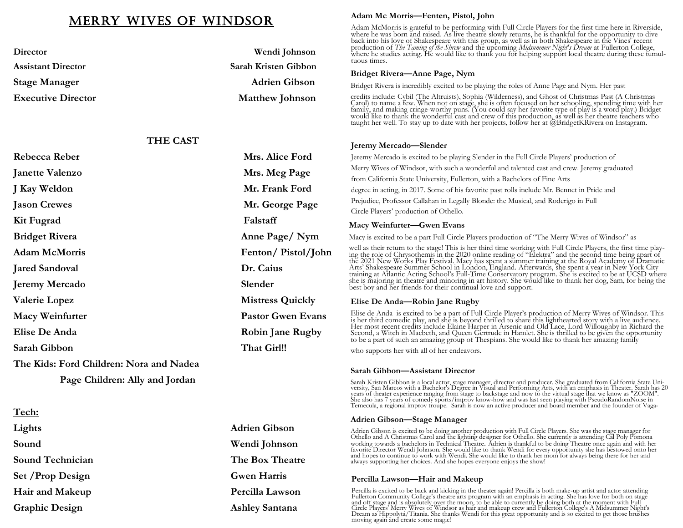# Merry Wives of Windsor

| Director                  | Wendi Johnson          |
|---------------------------|------------------------|
| <b>Assistant Director</b> | Sarah Kristen Gibbon   |
| <b>Stage Manager</b>      | <b>Adrien Gibson</b>   |
| <b>Executive Director</b> | <b>Matthew Johnson</b> |
|                           |                        |

### **THE CAST**

| Rebecca Reber                           | Mrs. Alice Ford          |
|-----------------------------------------|--------------------------|
| <b>Janette Valenzo</b>                  | Mrs. Meg Page            |
| J Kay Weldon                            | Mr. Frank Ford           |
| <b>Jason Crewes</b>                     | Mr. George Page          |
| Kit Fugrad                              | Falstaff                 |
| <b>Bridget Rivera</b>                   | Anne Page/Nym            |
| <b>Adam McMorris</b>                    | Fenton/Pistol/John       |
| <b>Jared Sandoval</b>                   | Dr. Caius                |
| <b>Jeremy Mercado</b>                   | Slender                  |
| <b>Valerie Lopez</b>                    | <b>Mistress Quickly</b>  |
| <b>Macy Weinfurter</b>                  | <b>Pastor Gwen Evans</b> |
| Elise De Anda                           | <b>Robin Jane Rugby</b>  |
| Sarah Gibbon                            | That Girl!!              |
| The Kids: Ford Children: Nora and Nadea |                          |
|                                         |                          |

 **Page Children: Ally and Jordan**

**Tech: Lights Adrien Gibson Sound Wendi Johnson Sound Technician The Box Theatre Set /Prop Design Gwen Harris Hair and Makeup Percilla Lawson Graphic Design Ashley Santana** 

#### **Adam Mc Morris—Fenten, Pistol, John**

Adam McMorris is grateful to be performing with Full Circle Players for the first time here in Riverside, where he was born and raised. As live theatre slowly returns, he is thankful for the opportunity to dive back into his love of Shakespeare with this group, as well as in both Shakespeare in the Vines' recent production of *The Taming of the Shrew* and the upcoming *Midsummer Night's Dream* at Fullerton College, where he studies acting. He would like to thank you for helping support local theatre during these tumultuous times.

#### **Bridget Rivera—Anne Page, Nym**

Bridget Rivera is incredibly excited to be playing the roles of Anne Page and Nym. Her past

credits include: Cybil (The Altruists), Sophia (Wilderness), and Ghost of Christmas Past (A Christmas Carol) to name a few. When not on stage, she is often focused on her schooling, spending time with her family, and making cringe-worthy puns. (You could say her favorite type of play is a word play.) Bridget would like to

### **Jeremy Mercado—Slender**

Jeremy Mercado is excited to be playing Slender in the Full Circle Players' production of

Merry Wives of Windsor, with such a wonderful and talented cast and crew. Jeremy graduated

from California State University, Fullerton, with a Bachelors of Fine Arts

degree in acting, in 2017. Some of his favorite past rolls include Mr. Bennet in Pride and

Prejudice, Professor Callahan in Legally Blonde: the Musical, and Roderigo in Full

Circle Players' production of Othello.

#### **Macy Weinfurter—Gwen Evans**

Macy is excited to be a part Full Circle Players production of "The Merry Wives of Windsor" as

well as their return to the stage! This is her third time working with Full Circle Players, the first time playing the role of Chrysothemis in the 2020 online reading of "Elektra" and the second time being apart of the 2021 New Works Play Festival. Macy has spent a summer training at the Royal Academy of Dramatic Arts' Shakespeare Summer School in London, England. Afterwards, she spent a year in New York City training at Atlantic Acting School's Full-Time Conservatory program. She is excited to be at UCSD where she is majoring in theatre and minoring in art history. She would like to thank her dog, Sam, for being the best boy and her friends for their continual love and support.

#### **Elise De Anda—Robin Jane Rugby**

Elise de Anda is excited to be a part of Full Circle Player's production of Merry Wives of Windsor. This is her third comedic play, and she is beyond thrilled to share this lighthearted story with a live audience.<br>Her most recent credits include Elaine Harper in Arsenic and Old Lace, Lord Willoughby in Richard the<br>Second, a W to be a part of such an amazing group of Thespians. She would like to thank her amazing family

who supports her with all of her endeavors.

#### **Sarah Gibbon—Assistant Director**

Sarah Kristen Gibbon is a local actor, stage manager, director and producer. She graduated from California State University, San Marcos with a Bachelor's Degree in Visual and Performing Arts, with an emphasis in Theater. S

#### **Adrien Gibson—Stage Manager**

Adrien Gibson is excited to be doing another production with Full Circle Players. She was the stage manager for Othello and A Christmas Carol and the lighting designer for Othello. She currently is attending Cal Poly Pomona working towards a bachelors in Technical Theatre. Adrien is thankful to be doing Theatre once again and with her favorite Director Wendi Johnson. She would like to thank Wendi for every opportunity she has bestowed onto her and hopes to continue to work with Wendi. She would like to thank her mom for always being there for her and always supporting her choices. And she hopes everyone enjoys the show!

#### **Percilla Lawson—Hair and Makeup**

Percilla is excited to be back and kicking in the theater again! Percilla is both make-up artist and actor attending<br>Fullerton Community College's theatre arts program with an emphasis in acting. She has love for both on s Dream as Hippolyta/Titania. She thanks Wendi for this great opportunity and is so excited to get those brushes moving again and create some magic!